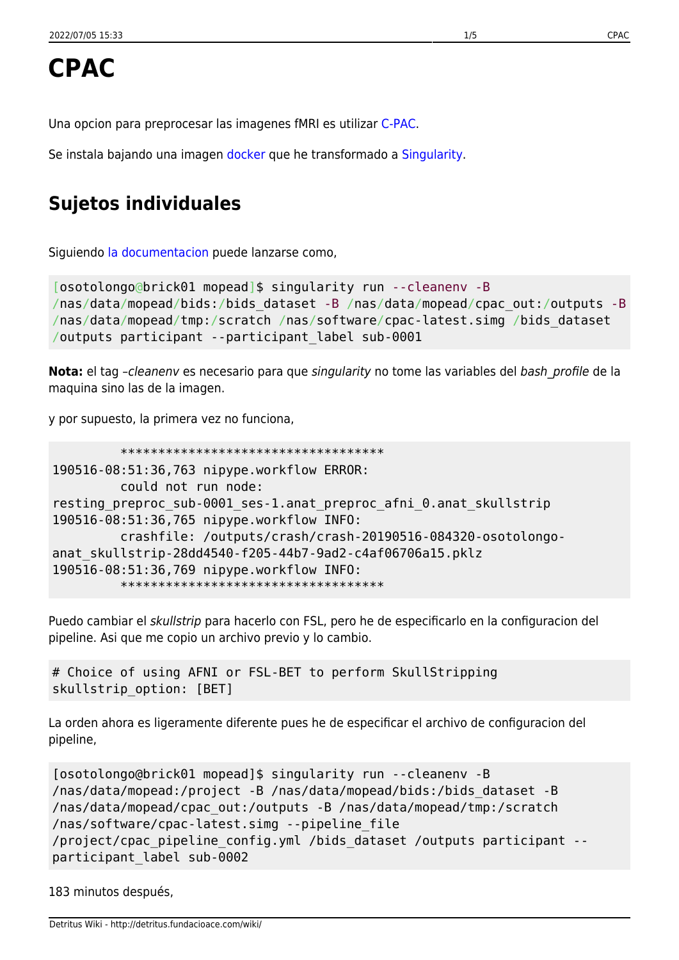Una opcion para preprocesar las imagenes fMRI es utilizar [C-PAC.](http://fcp-indi.github.io/docs/user/index.html)

Se instala bajando una imagen [docker](https://www.docker.com/) que he transformado a [Singularity.](https://www.sylabs.io/)

# **Sujetos individuales**

Siguiendo [la documentacion](http://fcp-indi.github.io/docs/user/quick.html#running-on-singularity) puede lanzarse como,

```
[osotolongo@brick01 mopead]$ singularity run --cleanenv -B
/nas/data/mopead/bids:/bids_dataset -B /nas/data/mopead/cpac_out:/outputs -B
/nas/data/mopead/tmp:/scratch /nas/software/cpac-latest.simg /bids_dataset
/outputs participant --participant_label sub-0001
```
Nota: el tag -cleaneny es necesario para que singularity no tome las variables del bash profile de la maquina sino las de la imagen.

y por supuesto, la primera vez no funciona,

```
 ***********************************
190516-08:51:36,763 nipype.workflow ERROR:
          could not run node:
resting preproc sub-0001 ses-1.anat preproc afni 0.anat skullstrip
190516-08:51:36,765 nipype.workflow INFO:
          crashfile: /outputs/crash/crash-20190516-084320-osotolongo-
anat_skullstrip-28dd4540-f205-44b7-9ad2-c4af06706a15.pklz
190516-08:51:36,769 nipype.workflow INFO:
          ***********************************
```
Puedo cambiar el skullstrip para hacerlo con FSL, pero he de especificarlo en la configuracion del pipeline. Asi que me copio un archivo previo y lo cambio.

```
# Choice of using AFNI or FSL-BET to perform SkullStripping
skullstrip_option: [BET]
```
La orden ahora es ligeramente diferente pues he de especificar el archivo de configuracion del pipeline,

```
[osotolongo@brick01 mopead]$ singularity run --cleanenv -B
/nas/data/mopead:/project -B /nas/data/mopead/bids:/bids_dataset -B
/nas/data/mopead/cpac_out:/outputs -B /nas/data/mopead/tmp:/scratch
/nas/software/cpac-latest.simg --pipeline_file
/project/cpac_pipeline_config.yml /bids_dataset /outputs participant --
participant_label sub-0002
```
183 minutos después,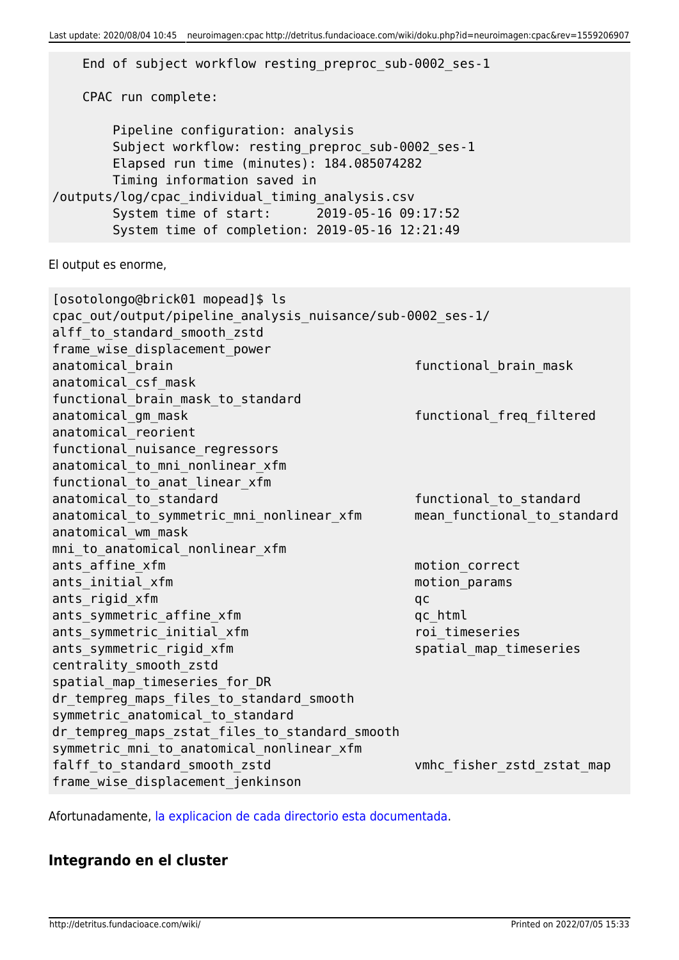End of subject workflow resting\_preproc\_sub-0002\_ses-1 CPAC run complete: Pipeline configuration: analysis Subject workflow: resting preproc sub-0002 ses-1 Elapsed run time (minutes): 184.085074282 Timing information saved in /outputs/log/cpac\_individual\_timing\_analysis.csv System time of start: 2019-05-16 09:17:52 System time of completion: 2019-05-16 12:21:49 El output es enorme, [osotolongo@brick01 mopead]\$ ls cpac\_out/output/pipeline\_analysis\_nuisance/sub-0002\_ses-1/ alff to standard smooth zstd frame wise displacement power anatomical brain functional brain mask anatomical\_csf\_mask functional brain mask to standard anatomical gm mask functional freq filtered anatomical\_reorient functional nuisance regressors anatomical to mni nonlinear xfm functional to anat linear xfm anatomical to standard in the standard functional to standard anatomical\_to\_symmetric\_mni\_nonlinear\_xfm mean\_functional\_to\_standard anatomical\_wm\_mask mni to anatomical nonlinear xfm ants affine\_xfm motion\_correct ants initial xfm motion params ants rigid xfm qc ants symmetric affine xfm qc html ants symmetric initial xfm roi timeseries ants symmetric rigid xfm subsection of the spatial map timeseries centrality\_smooth\_zstd spatial map timeseries for DR dr tempreg maps files to standard smooth symmetric anatomical to standard dr tempreg maps zstat files to standard smooth symmetric mni to anatomical nonlinear xfm falff\_to\_standard\_smooth\_zstd vmhc\_fisher\_zstd\_zstat\_map frame\_wise\_displacement\_jenkinson

Afortunadamente, [la explicacion de cada directorio esta documentada.](http://fcp-indi.github.io/docs/user/output_dir.html)

### **Integrando en el cluster**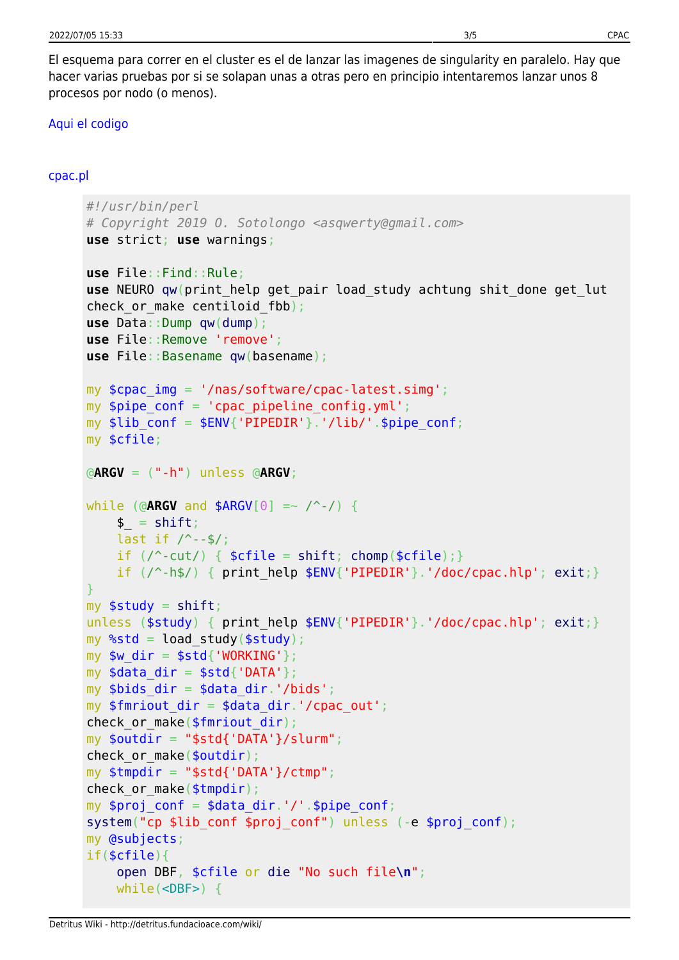El esquema para correr en el cluster es el de lanzar las imagenes de singularity en paralelo. Hay que hacer varias pruebas por si se solapan unas a otras pero en principio intentaremos lanzar unos 8 procesos por nodo (o menos).

#### [Aqui el codigo](#page--1-0)

#### [cpac.pl](http://detritus.fundacioace.com/wiki/doku.php?do=export_code&id=neuroimagen:cpac&codeblock=6)

```
#!/usr/bin/perl
# Copyright 2019 O. Sotolongo <asqwerty@gmail.com>
use strict; use warnings;
use File::Find::Rule;
use NEURO qw(print_help get_pair load_study achtung shit_done get_lut
check or make centiloid fbb);
use Data::Dump qw(dump);
use File::Remove 'remove';
use File::Basename qw(basename);
my $cpac_img = '/nas/software/cpac-latest.simg';
my $pipe conf = 'cpac pipeline config.yml';
my $lib conf = $ENV{'PIPEDIR'}.'/lib/'.$pipe conf;
my $cfile;
@ARGV = ("-h") unless @ARGV;
while (@ARGV and $ARGV[0] =~ /^-/) {
   shift;last if / --$/;
   if \left(\frac{\triangle}{\triangle} -\text{cut}\right) { shift}chomp(\text{script } = \text{right}); }
   if //^{\wedge}-h\/ { print help $ENV{'PIPEDIR'}exit;}
}
myshift;
exit;}
my %std = load study($study);
mv $w dir = $std{'WORKING'};
my \deltadata dir = \deltastd{'DATA'};
my $bids dir = $data dir.'/bids';
my $fmriout dir = $data dir.'/cpac out';check or make($fmriout dir);
my $outdir = "$std{'DATA'}}/slurm";check or make($outdir);
my $tmpdir = "$std{'DATA'}}/ctmp";check or make($tmpdir);
my $proj_conf = $data_dir.'/'.$pipe_conf;
system("cp $lib_conf $proj_conf") unless (-e $proj_conf);
my @subjects;
if($cfile){
    open DBF, $cfile or die "No such file\n";
    while(<DBF>) {
```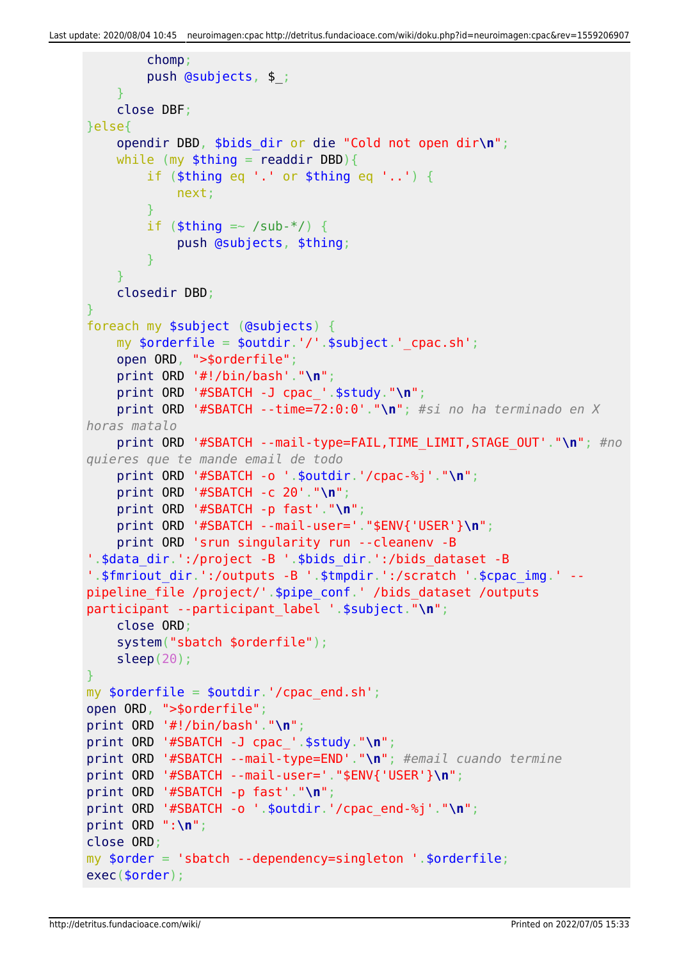```
 chomp;
         push @subjects, $_;
     }
     close DBF;
}else{
     opendir DBD, $bids_dir or die "Cold not open dir\n";
    while (my readdir DBD){}if ($thing eq \prime.' or $thing eq \prime..') {
             next;
         }
        if (\text{sthing} = \sim /sub-*/ ) {
             push @subjects, $thing;
         }
     }
     closedir DBD;
}
foreach my $subject (@subjects) {
    my \text{sortederfile} = \text{south}: '/'.\text{subject}' cpac.sh';
     open ORD, ">$orderfile";
     print ORD '#!/bin/bash'."\n";
     print ORD '#SBATCH -J cpac_'.$study."\n";
     print ORD '#SBATCH --time=72:0:0'."\n"; #si no ha terminado en X
horas matalo
     print ORD '#SBATCH --mail-type=FAIL,TIME_LIMIT,STAGE_OUT'."\n"; #no
quieres que te mande email de todo
     print ORD '#SBATCH -o '.$outdir.'/cpac-%j'."\n";
     print ORD '#SBATCH -c 20'."\n";
     print ORD '#SBATCH -p fast'."\n";
     print ORD '#SBATCH --mail-user='."$ENV{'USER'}\n";
     print ORD 'srun singularity run --cleanenv -B
'.$data_dir.':/project -B '.$bids_dir.':/bids_dataset -B
'.$fmriout_dir.':/outputs -B '.$tmpdir.':/scratch '.$cpac_img.' --
pipeline_file /project/'.$pipe_conf.' /bids_dataset /outputs
participant --participant label '.$subject."\n";
     close ORD;
     system("sbatch $orderfile");
     sleep(20);
}
my $orderfile = $outdir.'/cpac end.sh';
open ORD, ">$orderfile";
print ORD '#!/bin/bash'."\n";
print ORD '#SBATCH -J cpac_'.$study."\n";
print ORD '#SBATCH --mail-type=END'."\n"; #email cuando termine
print ORD '#SBATCH --mail-user='."$ENV{'USER'}\n";
print ORD '#SBATCH -p fast'."\n";
print ORD '#SBATCH -o '.$outdir.'/cpac_end-%j'."\n";
print ORD ":\n";
close ORD;
my $order = 'sbatch --dependency=singleton '.$orderfile;
exec($order);
```